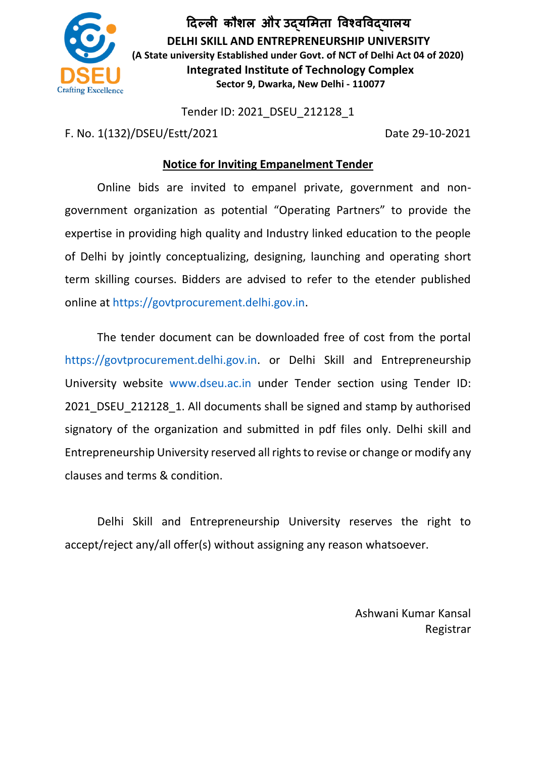

**दिल्ली कौशल और उद्यमिता विश्िविद्यालय DELHI SKILL AND ENTREPRENEURSHIP UNIVERSITY (A State university Established under Govt. of NCT of Delhi Act 04 of 2020) Integrated Institute of Technology Complex Sector 9, Dwarka, New Delhi - 110077**

Tender ID: 2021\_DSEU\_212128\_1

F. No. 1(132)/DSEU/Estt/2021 Date 29-10-2021

# **Notice for Inviting Empanelment Tender**

Online bids are invited to empanel private, government and nongovernment organization as potential "Operating Partners" to provide the expertise in providing high quality and Industry linked education to the people of Delhi by jointly conceptualizing, designing, launching and operating short term skilling courses. Bidders are advised to refer to the etender published online at https://govtprocurement.delhi.gov.in.

The tender document can be downloaded free of cost from the portal https://govtprocurement.delhi.gov.in. or Delhi Skill and Entrepreneurship University website www.dseu.ac.in under Tender section using Tender ID: 2021 DSEU 212128 1. All documents shall be signed and stamp by authorised signatory of the organization and submitted in pdf files only. Delhi skill and Entrepreneurship University reserved all rights to revise or change or modify any clauses and terms & condition.

Delhi Skill and Entrepreneurship University reserves the right to accept/reject any/all offer(s) without assigning any reason whatsoever.

> Ashwani Kumar Kansal Registrar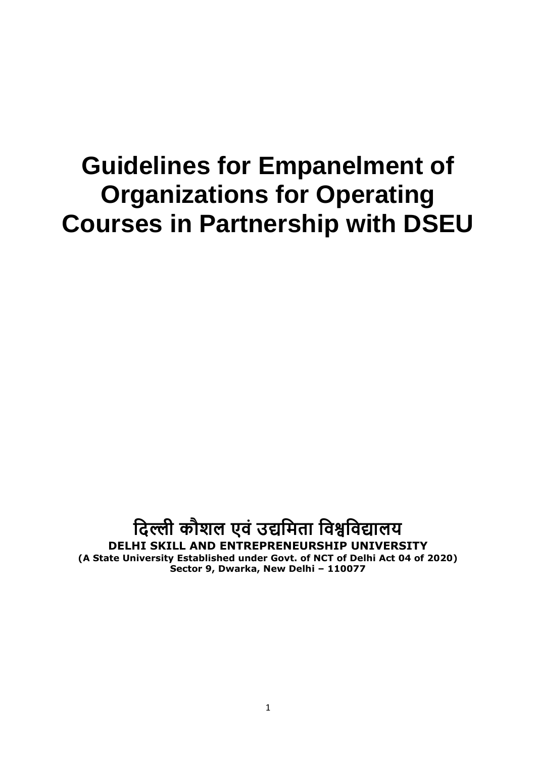# **Guidelines for Empanelment of Organizations for Operating Courses in Partnership with DSEU**

# **दिल्ली कौशल एवं उद्यदिता दवश्वदवद्यालय DELHI SKILL AND ENTREPRENEURSHIP UNIVERSITY (A State University Established under Govt. of NCT of Delhi Act 04 of 2020) Sector 9, Dwarka, New Delhi – 110077**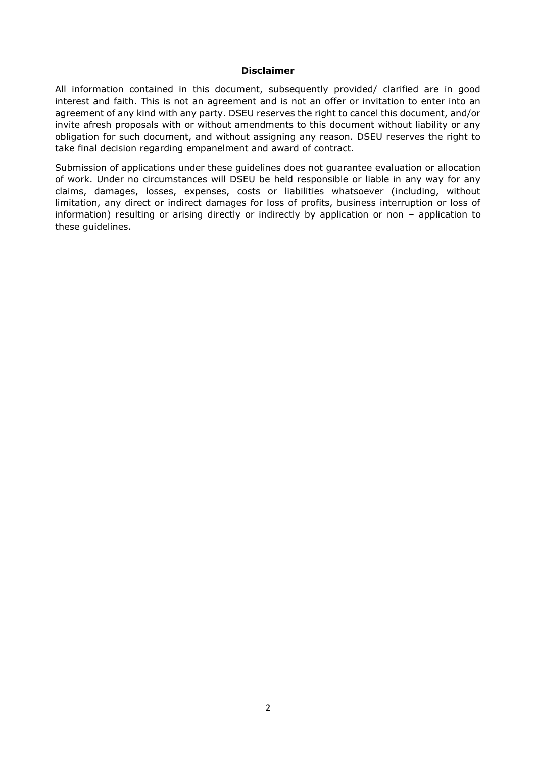#### **Disclaimer**

All information contained in this document, subsequently provided/ clarified are in good interest and faith. This is not an agreement and is not an offer or invitation to enter into an agreement of any kind with any party. DSEU reserves the right to cancel this document, and/or invite afresh proposals with or without amendments to this document without liability or any obligation for such document, and without assigning any reason. DSEU reserves the right to take final decision regarding empanelment and award of contract.

Submission of applications under these guidelines does not guarantee evaluation or allocation of work. Under no circumstances will DSEU be held responsible or liable in any way for any claims, damages, losses, expenses, costs or liabilities whatsoever (including, without limitation, any direct or indirect damages for loss of profits, business interruption or loss of information) resulting or arising directly or indirectly by application or non – application to these guidelines.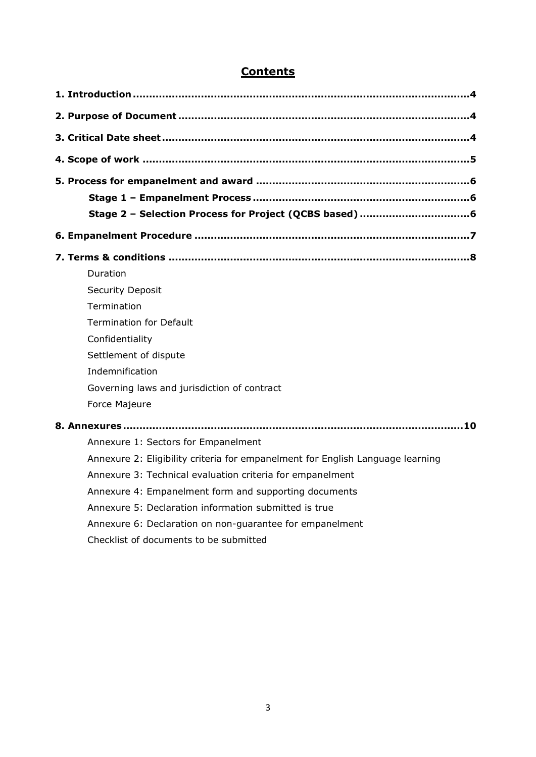# **Contents**

| Stage 2 - Selection Process for Project (QCBS based) 6                         |
|--------------------------------------------------------------------------------|
|                                                                                |
|                                                                                |
| Duration                                                                       |
| <b>Security Deposit</b>                                                        |
| Termination                                                                    |
| <b>Termination for Default</b>                                                 |
| Confidentiality                                                                |
| Settlement of dispute                                                          |
| Indemnification                                                                |
| Governing laws and jurisdiction of contract                                    |
| Force Majeure                                                                  |
| 8. Annexures……………………………………………………………………………………………10                              |
| Annexure 1: Sectors for Empanelment                                            |
| Annexure 2: Eligibility criteria for empanelment for English Language learning |
| Annexure 3: Technical evaluation criteria for empanelment                      |
| Annexure 4: Empanelment form and supporting documents                          |
| Annexure 5: Declaration information submitted is true                          |
| Annexure 6: Declaration on non-guarantee for empanelment                       |
| Checklist of documents to be submitted                                         |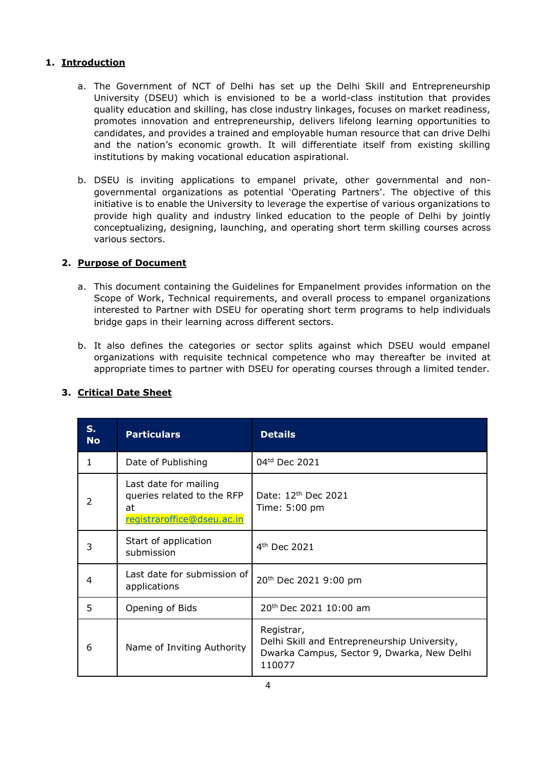## **1. Introduction**

- a. The Government of NCT of Delhi has set up the Delhi Skill and Entrepreneurship University (DSEU) which is envisioned to be a world-class institution that provides quality education and skilling, has close industry linkages, focuses on market readiness, promotes innovation and entrepreneurship, delivers lifelong learning opportunities to candidates, and provides a trained and employable human resource that can drive Delhi and the nation's economic growth. It will differentiate itself from existing skilling institutions by making vocational education aspirational.
- b. DSEU is inviting applications to empanel private, other governmental and nongovernmental organizations as potential 'Operating Partners'. The objective of this initiative is to enable the University to leverage the expertise of various organizations to provide high quality and industry linked education to the people of Delhi by jointly conceptualizing, designing, launching, and operating short term skilling courses across various sectors.

## **2. Purpose of Document**

- a. This document containing the Guidelines for Empanelment provides information on the Scope of Work, Technical requirements, and overall process to empanel organizations interested to Partner with DSEU for operating short term programs to help individuals bridge gaps in their learning across different sectors.
- b. It also defines the categories or sector splits against which DSEU would empanel organizations with requisite technical competence who may thereafter be invited at appropriate times to partner with DSEU for operating courses through a limited tender.

| $S_{1}$<br><b>No</b> | <b>Particulars</b>                                                                      | <b>Details</b>                                                                                                     |
|----------------------|-----------------------------------------------------------------------------------------|--------------------------------------------------------------------------------------------------------------------|
| 1                    | Date of Publishing                                                                      | 04 <sup>td</sup> Dec 2021                                                                                          |
| 2                    | Last date for mailing<br>queries related to the RFP<br>at<br>registraroffice@dseu.ac.in | Date: 12th Dec 2021<br>Time: 5:00 pm                                                                               |
| 3                    | Start of application<br>submission                                                      | $4th$ Dec 2021                                                                                                     |
| 4                    | Last date for submission of<br>applications                                             | 20 <sup>th</sup> Dec 2021 9:00 pm                                                                                  |
| 5                    | Opening of Bids                                                                         | 20th Dec 2021 10:00 am                                                                                             |
| 6                    | Name of Inviting Authority                                                              | Registrar,<br>Delhi Skill and Entrepreneurship University,<br>Dwarka Campus, Sector 9, Dwarka, New Delhi<br>110077 |

## **3. Critical Date Sheet**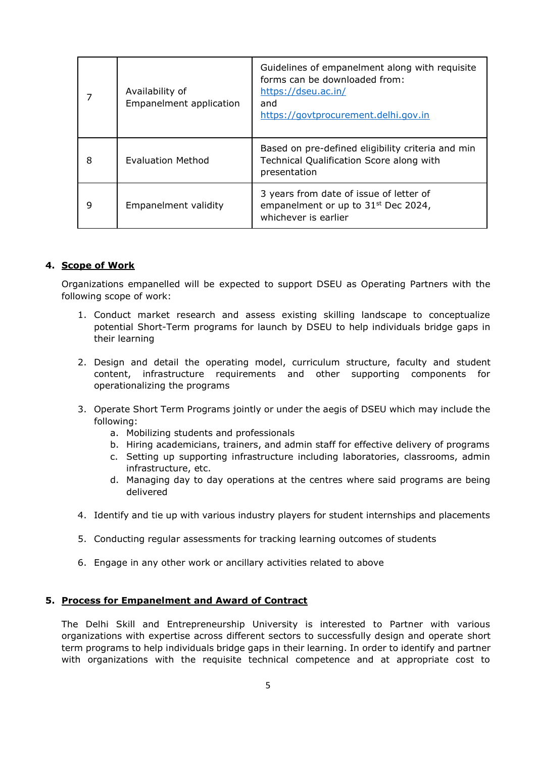|   | Availability of<br><b>Empanelment application</b> | Guidelines of empanelment along with requisite<br>forms can be downloaded from:<br>https://dseu.ac.in/<br>and<br>https://govtprocurement.delhi.gov.in |
|---|---------------------------------------------------|-------------------------------------------------------------------------------------------------------------------------------------------------------|
| 8 | <b>Evaluation Method</b>                          | Based on pre-defined eligibility criteria and min<br>Technical Qualification Score along with<br>presentation                                         |
| 9 | Empanelment validity                              | 3 years from date of issue of letter of<br>empanelment or up to 31 <sup>st</sup> Dec 2024,<br>whichever is earlier                                    |

#### **4. Scope of Work**

Organizations empanelled will be expected to support DSEU as Operating Partners with the following scope of work:

- 1. Conduct market research and assess existing skilling landscape to conceptualize potential Short-Term programs for launch by DSEU to help individuals bridge gaps in their learning
- 2. Design and detail the operating model, curriculum structure, faculty and student content, infrastructure requirements and other supporting components for operationalizing the programs
- 3. Operate Short Term Programs jointly or under the aegis of DSEU which may include the following:
	- a. Mobilizing students and professionals
	- b. Hiring academicians, trainers, and admin staff for effective delivery of programs
	- c. Setting up supporting infrastructure including laboratories, classrooms, admin infrastructure, etc.
	- d. Managing day to day operations at the centres where said programs are being delivered
- 4. Identify and tie up with various industry players for student internships and placements
- 5. Conducting regular assessments for tracking learning outcomes of students
- 6. Engage in any other work or ancillary activities related to above

#### **5. Process for Empanelment and Award of Contract**

The Delhi Skill and Entrepreneurship University is interested to Partner with various organizations with expertise across different sectors to successfully design and operate short term programs to help individuals bridge gaps in their learning. In order to identify and partner with organizations with the requisite technical competence and at appropriate cost to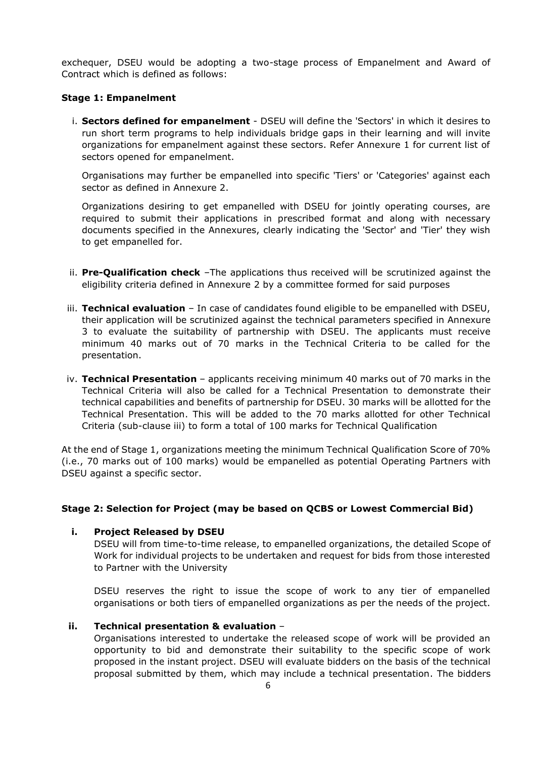exchequer, DSEU would be adopting a two-stage process of Empanelment and Award of Contract which is defined as follows:

#### **Stage 1: Empanelment**

i. **Sectors defined for empanelment** - DSEU will define the 'Sectors' in which it desires to run short term programs to help individuals bridge gaps in their learning and will invite organizations for empanelment against these sectors. Refer Annexure 1 for current list of sectors opened for empanelment.

Organisations may further be empanelled into specific 'Tiers' or 'Categories' against each sector as defined in Annexure 2.

Organizations desiring to get empanelled with DSEU for jointly operating courses, are required to submit their applications in prescribed format and along with necessary documents specified in the Annexures, clearly indicating the 'Sector' and 'Tier' they wish to get empanelled for.

- ii. **Pre-Qualification check** –The applications thus received will be scrutinized against the eligibility criteria defined in Annexure 2 by a committee formed for said purposes
- iii. **Technical evaluation** In case of candidates found eligible to be empanelled with DSEU, their application will be scrutinized against the technical parameters specified in Annexure 3 to evaluate the suitability of partnership with DSEU. The applicants must receive minimum 40 marks out of 70 marks in the Technical Criteria to be called for the presentation.
- iv. **Technical Presentation**  applicants receiving minimum 40 marks out of 70 marks in the Technical Criteria will also be called for a Technical Presentation to demonstrate their technical capabilities and benefits of partnership for DSEU. 30 marks will be allotted for the Technical Presentation. This will be added to the 70 marks allotted for other Technical Criteria (sub-clause iii) to form a total of 100 marks for Technical Qualification

At the end of Stage 1, organizations meeting the minimum Technical Qualification Score of 70% (i.e., 70 marks out of 100 marks) would be empanelled as potential Operating Partners with DSEU against a specific sector.

#### **Stage 2: Selection for Project (may be based on QCBS or Lowest Commercial Bid)**

#### **i. Project Released by DSEU**

DSEU will from time-to-time release, to empanelled organizations, the detailed Scope of Work for individual projects to be undertaken and request for bids from those interested to Partner with the University

DSEU reserves the right to issue the scope of work to any tier of empanelled organisations or both tiers of empanelled organizations as per the needs of the project.

#### **ii. Technical presentation & evaluation** –

Organisations interested to undertake the released scope of work will be provided an opportunity to bid and demonstrate their suitability to the specific scope of work proposed in the instant project. DSEU will evaluate bidders on the basis of the technical proposal submitted by them, which may include a technical presentation. The bidders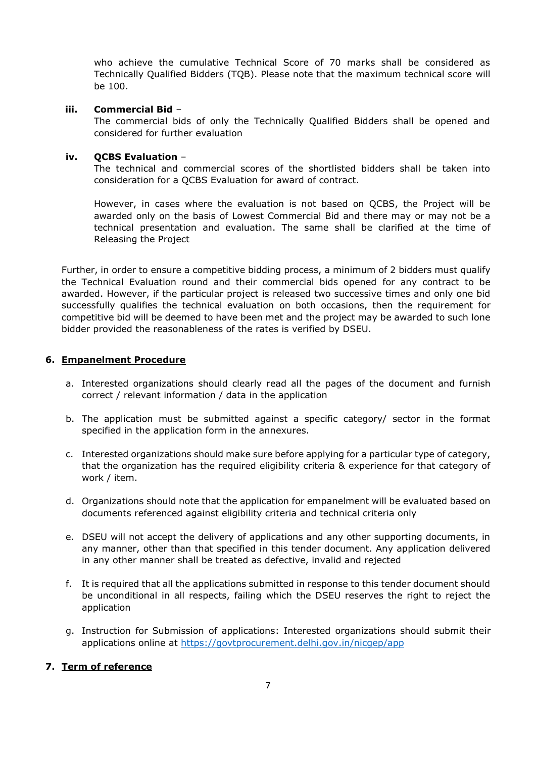who achieve the cumulative Technical Score of 70 marks shall be considered as Technically Qualified Bidders (TQB). Please note that the maximum technical score will be 100.

#### **iii. Commercial Bid** –

The commercial bids of only the Technically Qualified Bidders shall be opened and considered for further evaluation

#### **iv. QCBS Evaluation** –

The technical and commercial scores of the shortlisted bidders shall be taken into consideration for a QCBS Evaluation for award of contract.

However, in cases where the evaluation is not based on QCBS, the Project will be awarded only on the basis of Lowest Commercial Bid and there may or may not be a technical presentation and evaluation. The same shall be clarified at the time of Releasing the Project

Further, in order to ensure a competitive bidding process, a minimum of 2 bidders must qualify the Technical Evaluation round and their commercial bids opened for any contract to be awarded. However, if the particular project is released two successive times and only one bid successfully qualifies the technical evaluation on both occasions, then the requirement for competitive bid will be deemed to have been met and the project may be awarded to such lone bidder provided the reasonableness of the rates is verified by DSEU.

#### **6. Empanelment Procedure**

- a. Interested organizations should clearly read all the pages of the document and furnish correct / relevant information / data in the application
- b. The application must be submitted against a specific category/ sector in the format specified in the application form in the annexures.
- c. Interested organizations should make sure before applying for a particular type of category, that the organization has the required eligibility criteria & experience for that category of work / item.
- d. Organizations should note that the application for empanelment will be evaluated based on documents referenced against eligibility criteria and technical criteria only
- e. DSEU will not accept the delivery of applications and any other supporting documents, in any manner, other than that specified in this tender document. Any application delivered in any other manner shall be treated as defective, invalid and rejected
- f. It is required that all the applications submitted in response to this tender document should be unconditional in all respects, failing which the DSEU reserves the right to reject the application
- g. Instruction for Submission of applications: Interested organizations should submit their applications online at<https://govtprocurement.delhi.gov.in/nicgep/app>

#### **7. Term of reference**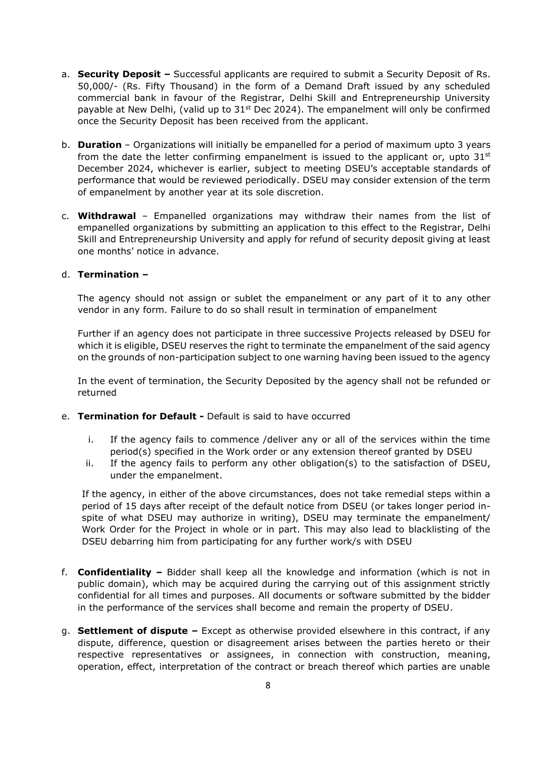- a. **Security Deposit –** Successful applicants are required to submit a Security Deposit of Rs. 50,000/- (Rs. Fifty Thousand) in the form of a Demand Draft issued by any scheduled commercial bank in favour of the Registrar, Delhi Skill and Entrepreneurship University payable at New Delhi, (valid up to  $31<sup>st</sup>$  Dec 2024). The empanelment will only be confirmed once the Security Deposit has been received from the applicant.
- b. **Duration** Organizations will initially be empanelled for a period of maximum upto 3 years from the date the letter confirming empanelment is issued to the applicant or, upto  $31<sup>st</sup>$ December 2024, whichever is earlier, subject to meeting DSEU's acceptable standards of performance that would be reviewed periodically. DSEU may consider extension of the term of empanelment by another year at its sole discretion.
- c. **Withdrawal** Empanelled organizations may withdraw their names from the list of empanelled organizations by submitting an application to this effect to the Registrar, Delhi Skill and Entrepreneurship University and apply for refund of security deposit giving at least one months' notice in advance.

#### d. **Termination –**

The agency should not assign or sublet the empanelment or any part of it to any other vendor in any form. Failure to do so shall result in termination of empanelment

Further if an agency does not participate in three successive Projects released by DSEU for which it is eligible, DSEU reserves the right to terminate the empanelment of the said agency on the grounds of non-participation subject to one warning having been issued to the agency

In the event of termination, the Security Deposited by the agency shall not be refunded or returned

- e. **Termination for Default -** Default is said to have occurred
	- i. If the agency fails to commence /deliver any or all of the services within the time period(s) specified in the Work order or any extension thereof granted by DSEU
	- ii. If the agency fails to perform any other obligation(s) to the satisfaction of DSEU, under the empanelment.

If the agency, in either of the above circumstances, does not take remedial steps within a period of 15 days after receipt of the default notice from DSEU (or takes longer period inspite of what DSEU may authorize in writing), DSEU may terminate the empanelment/ Work Order for the Project in whole or in part. This may also lead to blacklisting of the DSEU debarring him from participating for any further work/s with DSEU

- f. **Confidentiality –** Bidder shall keep all the knowledge and information (which is not in public domain), which may be acquired during the carrying out of this assignment strictly confidential for all times and purposes. All documents or software submitted by the bidder in the performance of the services shall become and remain the property of DSEU.
- g. **Settlement of dispute –** Except as otherwise provided elsewhere in this contract, if any dispute, difference, question or disagreement arises between the parties hereto or their respective representatives or assignees, in connection with construction, meaning, operation, effect, interpretation of the contract or breach thereof which parties are unable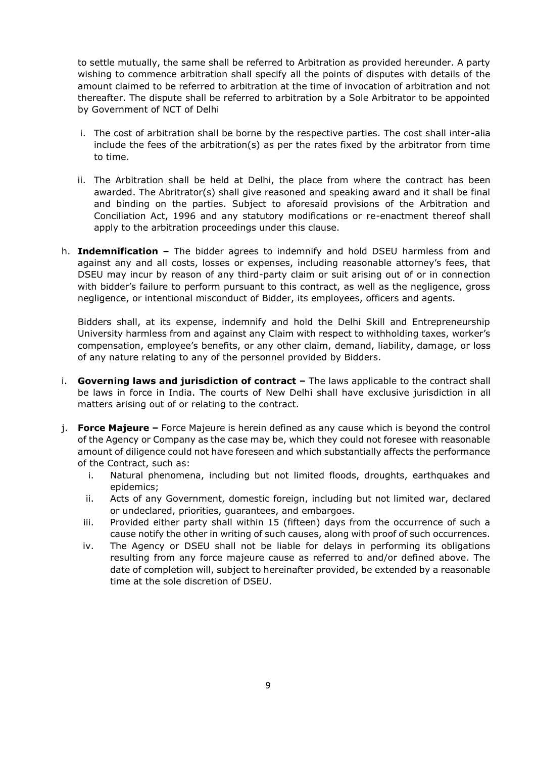to settle mutually, the same shall be referred to Arbitration as provided hereunder. A party wishing to commence arbitration shall specify all the points of disputes with details of the amount claimed to be referred to arbitration at the time of invocation of arbitration and not thereafter. The dispute shall be referred to arbitration by a Sole Arbitrator to be appointed by Government of NCT of Delhi

- i. The cost of arbitration shall be borne by the respective parties. The cost shall inter-alia include the fees of the arbitration(s) as per the rates fixed by the arbitrator from time to time.
- ii. The Arbitration shall be held at Delhi, the place from where the contract has been awarded. The Abritrator(s) shall give reasoned and speaking award and it shall be final and binding on the parties. Subject to aforesaid provisions of the Arbitration and Conciliation Act, 1996 and any statutory modifications or re-enactment thereof shall apply to the arbitration proceedings under this clause.
- h. **Indemnification –** The bidder agrees to indemnify and hold DSEU harmless from and against any and all costs, losses or expenses, including reasonable attorney's fees, that DSEU may incur by reason of any third-party claim or suit arising out of or in connection with bidder's failure to perform pursuant to this contract, as well as the negligence, gross negligence, or intentional misconduct of Bidder, its employees, officers and agents.

Bidders shall, at its expense, indemnify and hold the Delhi Skill and Entrepreneurship University harmless from and against any Claim with respect to withholding taxes, worker's compensation, employee's benefits, or any other claim, demand, liability, damage, or loss of any nature relating to any of the personnel provided by Bidders.

- i. **Governing laws and jurisdiction of contract -** The laws applicable to the contract shall be laws in force in India. The courts of New Delhi shall have exclusive jurisdiction in all matters arising out of or relating to the contract.
- j. **Force Majeure –** Force Majeure is herein defined as any cause which is beyond the control of the Agency or Company as the case may be, which they could not foresee with reasonable amount of diligence could not have foreseen and which substantially affects the performance of the Contract, such as:
	- i. Natural phenomena, including but not limited floods, droughts, earthquakes and epidemics;
	- ii. Acts of any Government, domestic foreign, including but not limited war, declared or undeclared, priorities, guarantees, and embargoes.
	- iii. Provided either party shall within 15 (fifteen) days from the occurrence of such a cause notify the other in writing of such causes, along with proof of such occurrences.
	- iv. The Agency or DSEU shall not be liable for delays in performing its obligations resulting from any force majeure cause as referred to and/or defined above. The date of completion will, subject to hereinafter provided, be extended by a reasonable time at the sole discretion of DSEU.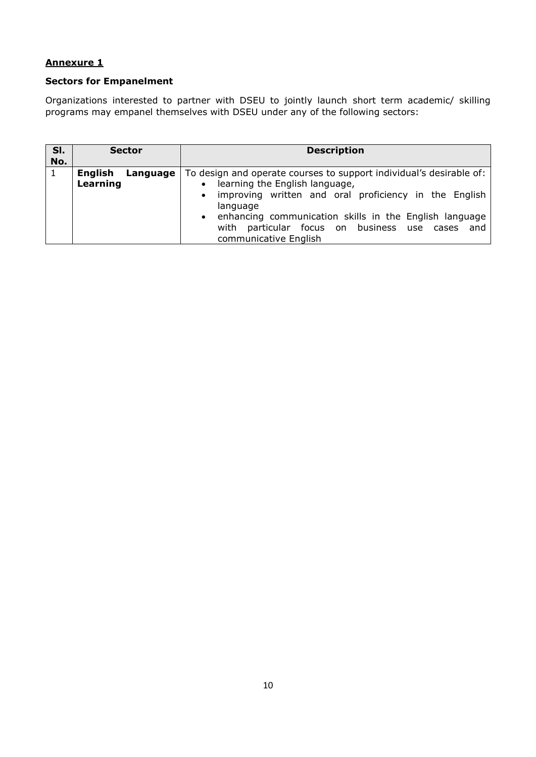## **Sectors for Empanelment**

Organizations interested to partner with DSEU to jointly launch short term academic/ skilling programs may empanel themselves with DSEU under any of the following sectors:

| SI.<br>No. | <b>Sector</b>                   | <b>Description</b>                                                                                                                                                                                                                                                                                                                                      |
|------------|---------------------------------|---------------------------------------------------------------------------------------------------------------------------------------------------------------------------------------------------------------------------------------------------------------------------------------------------------------------------------------------------------|
| 1          | English<br>Language<br>Learning | To design and operate courses to support individual's desirable of:<br>learning the English language,<br>$\bullet$<br>improving written and oral proficiency in the English<br>$\bullet$<br>language<br>enhancing communication skills in the English language<br>$\bullet$<br>with particular focus on business use cases and<br>communicative English |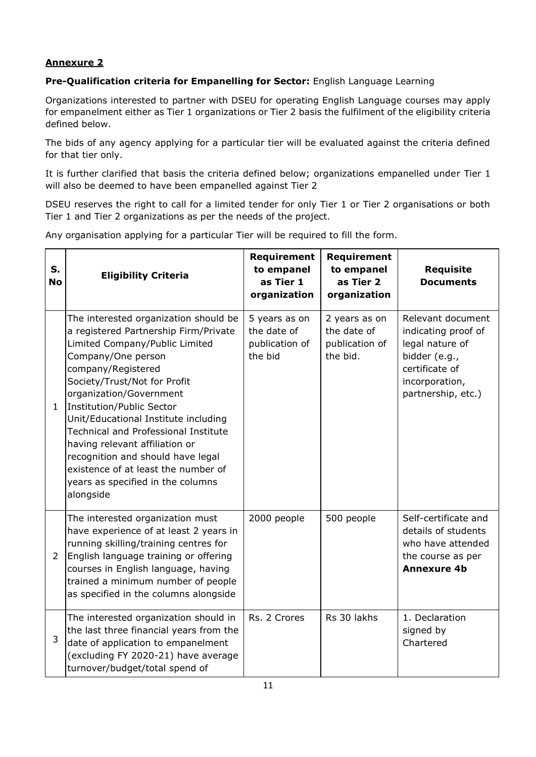## **Pre-Qualification criteria for Empanelling for Sector:** English Language Learning

Organizations interested to partner with DSEU for operating English Language courses may apply for empanelment either as Tier 1 organizations or Tier 2 basis the fulfilment of the eligibility criteria defined below.

The bids of any agency applying for a particular tier will be evaluated against the criteria defined for that tier only.

It is further clarified that basis the criteria defined below; organizations empanelled under Tier 1 will also be deemed to have been empanelled against Tier 2

DSEU reserves the right to call for a limited tender for only Tier 1 or Tier 2 organisations or both Tier 1 and Tier 2 organizations as per the needs of the project.

|  |  |  | Any organisation applying for a particular Tier will be required to fill the form. |
|--|--|--|------------------------------------------------------------------------------------|
|  |  |  |                                                                                    |

| S.<br><b>No</b> | <b>Eligibility Criteria</b>                                                                                                                                                                                                                                                                                                                                                                                                                                                                                 | <b>Requirement</b><br>to empanel<br>as Tier 1<br>organization | <b>Requirement</b><br>to empanel<br>as Tier 2<br>organization | <b>Requisite</b><br><b>Documents</b>                                                                                                   |
|-----------------|-------------------------------------------------------------------------------------------------------------------------------------------------------------------------------------------------------------------------------------------------------------------------------------------------------------------------------------------------------------------------------------------------------------------------------------------------------------------------------------------------------------|---------------------------------------------------------------|---------------------------------------------------------------|----------------------------------------------------------------------------------------------------------------------------------------|
| $\mathbf{1}$    | The interested organization should be<br>a registered Partnership Firm/Private<br>Limited Company/Public Limited<br>Company/One person<br>company/Registered<br>Society/Trust/Not for Profit<br>organization/Government<br>Institution/Public Sector<br>Unit/Educational Institute including<br><b>Technical and Professional Institute</b><br>having relevant affiliation or<br>recognition and should have legal<br>existence of at least the number of<br>years as specified in the columns<br>alongside | 5 years as on<br>the date of<br>publication of<br>the bid     | 2 years as on<br>the date of<br>publication of<br>the bid.    | Relevant document<br>indicating proof of<br>legal nature of<br>bidder (e.g.,<br>certificate of<br>incorporation,<br>partnership, etc.) |
| $\overline{2}$  | The interested organization must<br>have experience of at least 2 years in<br>running skilling/training centres for<br>English language training or offering<br>courses in English language, having<br>trained a minimum number of people<br>as specified in the columns alongside                                                                                                                                                                                                                          | 2000 people                                                   | 500 people                                                    | Self-certificate and<br>details of students<br>who have attended<br>the course as per<br><b>Annexure 4b</b>                            |
| 3               | The interested organization should in<br>the last three financial years from the<br>date of application to empanelment<br>(excluding FY 2020-21) have average<br>turnover/budget/total spend of                                                                                                                                                                                                                                                                                                             | Rs. 2 Crores                                                  | Rs 30 lakhs                                                   | 1. Declaration<br>signed by<br>Chartered                                                                                               |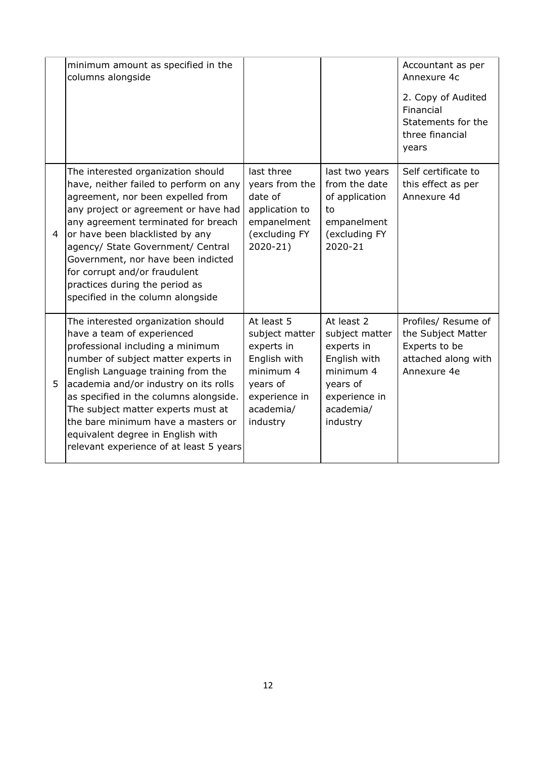|   | minimum amount as specified in the<br>columns alongside                                                                                                                                                                                                                                                                                                                                                                          |                                                                                                                               |                                                                                                                               | Accountant as per<br>Annexure 4c                                                                 |
|---|----------------------------------------------------------------------------------------------------------------------------------------------------------------------------------------------------------------------------------------------------------------------------------------------------------------------------------------------------------------------------------------------------------------------------------|-------------------------------------------------------------------------------------------------------------------------------|-------------------------------------------------------------------------------------------------------------------------------|--------------------------------------------------------------------------------------------------|
|   |                                                                                                                                                                                                                                                                                                                                                                                                                                  |                                                                                                                               |                                                                                                                               | 2. Copy of Audited<br>Financial<br>Statements for the<br>three financial<br>years                |
| 4 | The interested organization should<br>have, neither failed to perform on any<br>agreement, nor been expelled from<br>any project or agreement or have had<br>any agreement terminated for breach<br>or have been blacklisted by any<br>agency/ State Government/ Central<br>Government, nor have been indicted<br>for corrupt and/or fraudulent<br>practices during the period as<br>specified in the column alongside           | last three<br>years from the<br>date of<br>application to<br>empanelment<br>(excluding FY<br>$2020 - 21$                      | last two years<br>from the date<br>of application<br>to<br>empanelment<br>(excluding FY<br>2020-21                            | Self certificate to<br>this effect as per<br>Annexure 4d                                         |
| 5 | The interested organization should<br>have a team of experienced<br>professional including a minimum<br>number of subject matter experts in<br>English Language training from the<br>academia and/or industry on its rolls<br>as specified in the columns alongside.<br>The subject matter experts must at<br>the bare minimum have a masters or<br>equivalent degree in English with<br>relevant experience of at least 5 years | At least 5<br>subject matter<br>experts in<br>English with<br>minimum 4<br>years of<br>experience in<br>academia/<br>industry | At least 2<br>subject matter<br>experts in<br>English with<br>minimum 4<br>years of<br>experience in<br>academia/<br>industry | Profiles/ Resume of<br>the Subject Matter<br>Experts to be<br>attached along with<br>Annexure 4e |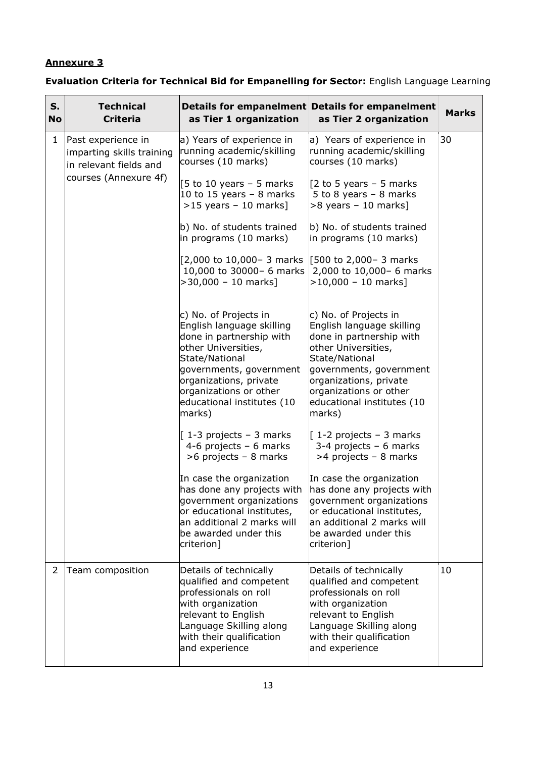# **Evaluation Criteria for Technical Bid for Empanelling for Sector:** English Language Learning

| S.<br><b>No</b> | <b>Technical</b><br><b>Criteria</b>                                       | as Tier 1 organization                                                                                                                                                                                                                         | Details for empanelment Details for empanelment<br>as Tier 2 organization                                                                                                                                                                      | <b>Marks</b> |
|-----------------|---------------------------------------------------------------------------|------------------------------------------------------------------------------------------------------------------------------------------------------------------------------------------------------------------------------------------------|------------------------------------------------------------------------------------------------------------------------------------------------------------------------------------------------------------------------------------------------|--------------|
| $\mathbf{1}$    | Past experience in<br>imparting skills training<br>in relevant fields and | a) Years of experience in<br>running academic/skilling<br>courses (10 marks)                                                                                                                                                                   | a) Years of experience in<br>running academic/skilling<br>courses (10 marks)                                                                                                                                                                   | 30           |
|                 | courses (Annexure 4f)                                                     | [5 to 10 years $-$ 5 marks<br>10 to 15 years $-$ 8 marks<br>$>15$ years - 10 marks]                                                                                                                                                            | [2 to 5 years $-$ 5 marks<br>5 to 8 years $-$ 8 marks<br>$>8$ years - 10 marks]                                                                                                                                                                |              |
|                 |                                                                           | b) No. of students trained<br>in programs (10 marks)                                                                                                                                                                                           | b) No. of students trained<br>in programs (10 marks)                                                                                                                                                                                           |              |
|                 |                                                                           | [2,000 to 10,000- 3 marks [500 to 2,000- 3 marks]<br>10,000 to 30000- 6 marks<br>$>$ 30,000 - 10 marks]                                                                                                                                        | 2,000 to 10,000- 6 marks<br>$>10,000 - 10 \text{ marks}$ ]                                                                                                                                                                                     |              |
|                 |                                                                           | c) No. of Projects in<br>English language skilling<br>done in partnership with<br>other Universities,<br>State/National<br>governments, government<br>organizations, private<br>organizations or other<br>educational institutes (10<br>marks) | c) No. of Projects in<br>English language skilling<br>done in partnership with<br>other Universities,<br>State/National<br>governments, government<br>organizations, private<br>organizations or other<br>educational institutes (10<br>marks) |              |
|                 |                                                                           | $[1-3$ projects - 3 marks<br>4-6 projects $-6$ marks<br>$>6$ projects - 8 marks                                                                                                                                                                | $[1-2$ projects - 3 marks<br>$3-4$ projects - 6 marks<br>>4 projects - 8 marks                                                                                                                                                                 |              |
|                 |                                                                           | In case the organization<br>has done any projects with<br>government organizations<br>or educational institutes,<br>lan additional 2 marks will<br>be awarded under this<br>criterion]                                                         | In case the organization<br>has done any projects with<br>government organizations<br>or educational institutes,<br>an additional 2 marks will<br>be awarded under this<br>criterion]                                                          |              |
| 2               | Team composition                                                          | Details of technically<br>qualified and competent<br>professionals on roll<br>with organization<br>relevant to English<br>Language Skilling along<br>with their qualification<br>and experience                                                | Details of technically<br>qualified and competent<br>professionals on roll<br>with organization<br>relevant to English<br>Language Skilling along<br>with their qualification<br>and experience                                                | 10           |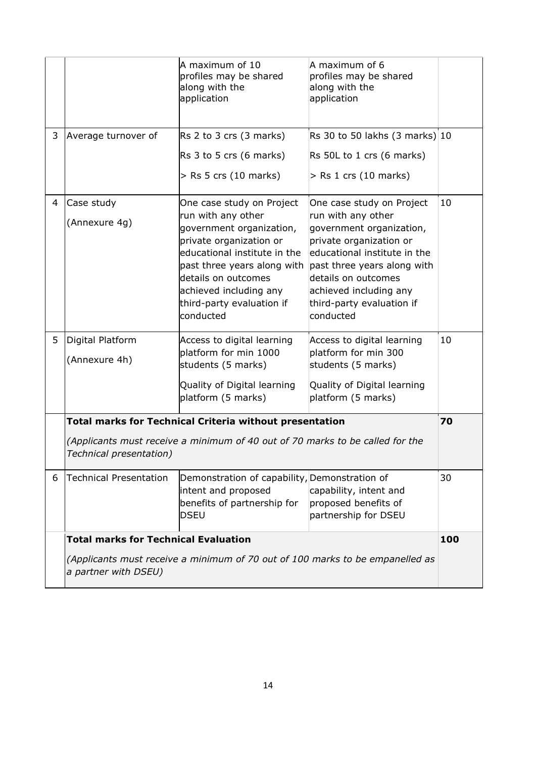|   |                                                                                                                                                             | A maximum of 10<br>profiles may be shared<br>along with the<br>application                                                                                                                                                                                       | A maximum of 6<br>profiles may be shared<br>along with the<br>application                                                                                                                                                                                        |    |  |
|---|-------------------------------------------------------------------------------------------------------------------------------------------------------------|------------------------------------------------------------------------------------------------------------------------------------------------------------------------------------------------------------------------------------------------------------------|------------------------------------------------------------------------------------------------------------------------------------------------------------------------------------------------------------------------------------------------------------------|----|--|
| 3 | Average turnover of                                                                                                                                         | $\overline{R}$ s 2 to 3 crs (3 marks)                                                                                                                                                                                                                            | Rs 30 to 50 lakhs $(3 \text{ marks})$ 10                                                                                                                                                                                                                         |    |  |
|   |                                                                                                                                                             | $\overline{R}$ s 3 to 5 crs (6 marks)                                                                                                                                                                                                                            | Rs 50L to 1 crs (6 marks)                                                                                                                                                                                                                                        |    |  |
|   |                                                                                                                                                             | $>$ Rs 5 crs (10 marks)                                                                                                                                                                                                                                          | $>$ Rs 1 crs (10 marks)                                                                                                                                                                                                                                          |    |  |
| 4 | Case study<br>(Annexure 4g)                                                                                                                                 | One case study on Project<br>run with any other<br>government organization,<br>private organization or<br>educational institute in the<br>past three years along with<br>details on outcomes<br>achieved including any<br>third-party evaluation if<br>conducted | One case study on Project<br>run with any other<br>government organization,<br>private organization or<br>educational institute in the<br>past three years along with<br>details on outcomes<br>achieved including any<br>third-party evaluation if<br>conducted | 10 |  |
| 5 | Digital Platform<br>(Annexure 4h)                                                                                                                           | Access to digital learning<br>platform for min 1000<br>students (5 marks)                                                                                                                                                                                        | Access to digital learning<br>platform for min 300<br>students (5 marks)                                                                                                                                                                                         | 10 |  |
|   |                                                                                                                                                             | Quality of Digital learning<br>platform (5 marks)                                                                                                                                                                                                                | Quality of Digital learning<br>platform (5 marks)                                                                                                                                                                                                                |    |  |
|   |                                                                                                                                                             | <b>Total marks for Technical Criteria without presentation</b>                                                                                                                                                                                                   |                                                                                                                                                                                                                                                                  | 70 |  |
|   | Technical presentation)                                                                                                                                     | (Applicants must receive a minimum of 40 out of 70 marks to be called for the                                                                                                                                                                                    |                                                                                                                                                                                                                                                                  |    |  |
| 6 | Technical Presentation                                                                                                                                      | Demonstration of capability, Demonstration of<br>intent and proposed<br>benefits of partnership for<br>DSEU                                                                                                                                                      | capability, intent and<br>proposed benefits of<br>partnership for DSEU                                                                                                                                                                                           | 30 |  |
|   | <b>Total marks for Technical Evaluation</b><br>100<br>(Applicants must receive a minimum of 70 out of 100 marks to be empanelled as<br>a partner with DSEU) |                                                                                                                                                                                                                                                                  |                                                                                                                                                                                                                                                                  |    |  |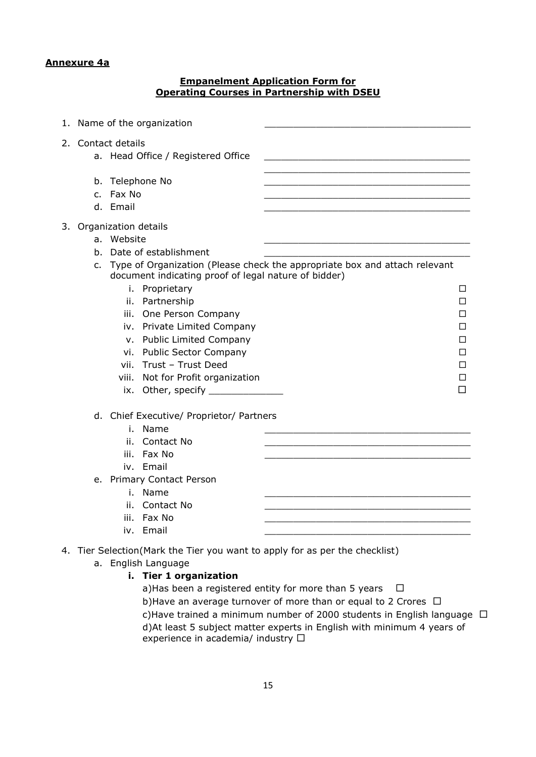#### **Annexure 4a**

#### **Empanelment Application Form for Operating Courses in Partnership with DSEU**

| 1. |                    | Name of the organization                                                                                                                                                                                                                                                                                                                                                              |                                                                                                                         |
|----|--------------------|---------------------------------------------------------------------------------------------------------------------------------------------------------------------------------------------------------------------------------------------------------------------------------------------------------------------------------------------------------------------------------------|-------------------------------------------------------------------------------------------------------------------------|
|    | 2. Contact details | a. Head Office / Registered Office                                                                                                                                                                                                                                                                                                                                                    |                                                                                                                         |
|    | c.<br>d. Email     | b. Telephone No<br>Fax No                                                                                                                                                                                                                                                                                                                                                             |                                                                                                                         |
|    | b.<br>c.           | 3. Organization details<br>a. Website<br>Date of establishment<br>document indicating proof of legal nature of bidder)<br>i. Proprietary<br>ii. Partnership<br>iii. One Person Company<br>iv. Private Limited Company<br>v. Public Limited Company<br>vi. Public Sector Company<br>vii. Trust - Trust Deed<br>viii. Not for Profit organization<br>ix. Other, specify _______________ | Type of Organization (Please check the appropriate box and attach relevant<br>□<br>П<br>П<br>П<br>□<br>□<br>□<br>П<br>П |
|    |                    | d. Chief Executive/ Proprietor/ Partners<br>Name<br>i.<br>Contact No<br>ii.<br>Fax No<br>iii.<br>iv. Email<br>e. Primary Contact Person<br>Name<br>i.<br>Contact No<br>ii.<br>Fax No<br>iii.<br>iv. Email                                                                                                                                                                             |                                                                                                                         |
|    |                    | 4. Tier Selection(Mark the Tier you want to apply for as per the checklist)                                                                                                                                                                                                                                                                                                           |                                                                                                                         |

- a. English Language
	- **i. Tier 1 organization**

a)Has been a registered entity for more than 5 years  $\Box$ b)Have an average turnover of more than or equal to 2 Crores  $\Box$ c)Have trained a minimum number of 2000 students in English language  $\Box$ d)At least 5 subject matter experts in English with minimum 4 years of experience in academia/ industry  $\Box$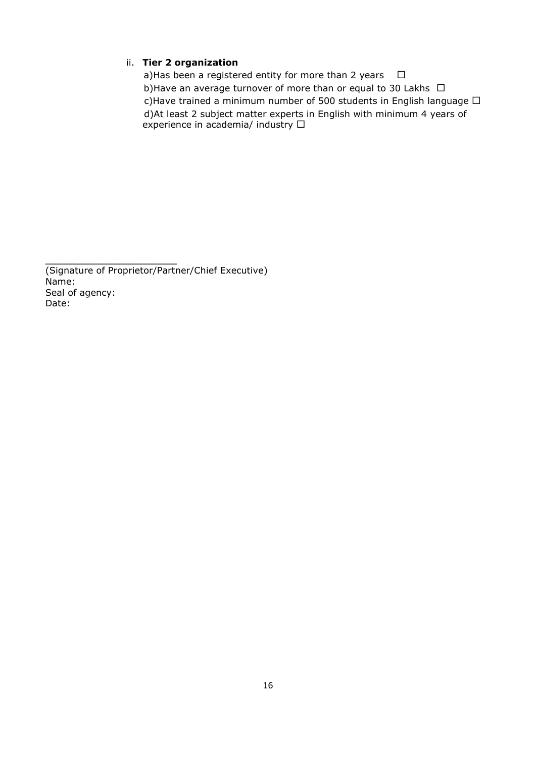#### ii. **Tier 2 organization**

a)Has been a registered entity for more than 2 years  $\Box$ b)Have an average turnover of more than or equal to 30 Lakhs  $\Box$ c)Have trained a minimum number of 500 students in English language  $\Box$  d)At least 2 subject matter experts in English with minimum 4 years of experience in academia/ industry  $\square$ 

(Signature of Proprietor/Partner/Chief Executive) Name: Seal of agency: Date:

 $\mathcal{L}=\{1,2,3,4,5\}$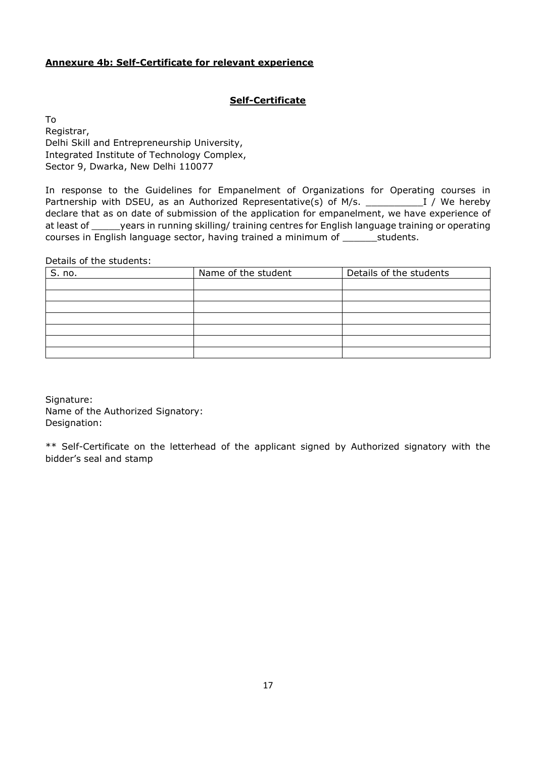#### **Annexure 4b: Self-Certificate for relevant experience**

## **Self-Certificate**

To Registrar, Delhi Skill and Entrepreneurship University, Integrated Institute of Technology Complex, Sector 9, Dwarka, New Delhi 110077

In response to the Guidelines for Empanelment of Organizations for Operating courses in Partnership with DSEU, as an Authorized Representative(s) of M/s. \_\_\_\_\_\_\_\_\_\_I / We hereby declare that as on date of submission of the application for empanelment, we have experience of at least of \_\_\_\_\_years in running skilling/ training centres for English language training or operating courses in English language sector, having trained a minimum of \_\_\_\_\_\_\_\_students.

Details of the students:

| S. no. | Name of the student | Details of the students |
|--------|---------------------|-------------------------|
|        |                     |                         |
|        |                     |                         |
|        |                     |                         |
|        |                     |                         |
|        |                     |                         |
|        |                     |                         |
|        |                     |                         |

Signature: Name of the Authorized Signatory: Designation:

\*\* Self-Certificate on the letterhead of the applicant signed by Authorized signatory with the bidder's seal and stamp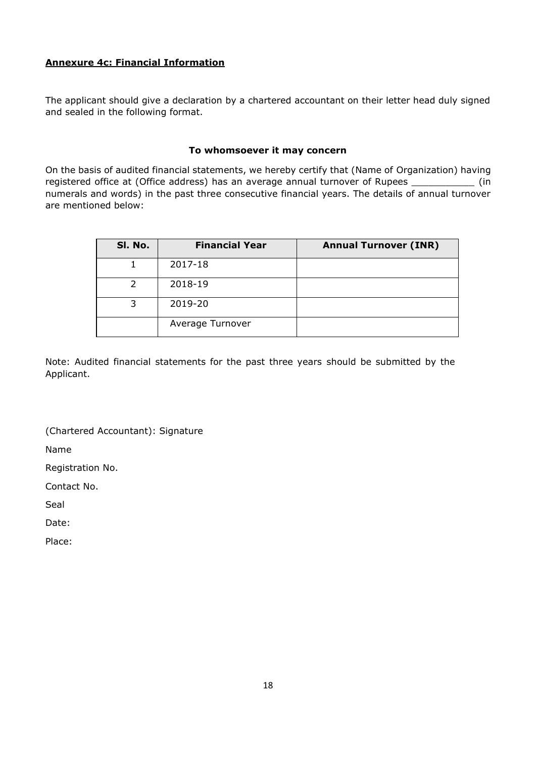## **Annexure 4c: Financial Information**

The applicant should give a declaration by a chartered accountant on their letter head duly signed and sealed in the following format.

#### **To whomsoever it may concern**

On the basis of audited financial statements, we hereby certify that (Name of Organization) having registered office at (Office address) has an average annual turnover of Rupees \_\_\_\_\_\_\_\_\_\_\_\_\_ (in numerals and words) in the past three consecutive financial years. The details of annual turnover are mentioned below:

| SI. No. | <b>Financial Year</b> | <b>Annual Turnover (INR)</b> |
|---------|-----------------------|------------------------------|
|         | 2017-18               |                              |
|         | 2018-19               |                              |
|         | 2019-20               |                              |
|         | Average Turnover      |                              |

Note: Audited financial statements for the past three years should be submitted by the Applicant.

(Chartered Accountant): Signature

Name

Registration No.

Contact No.

Seal

Date:

Place: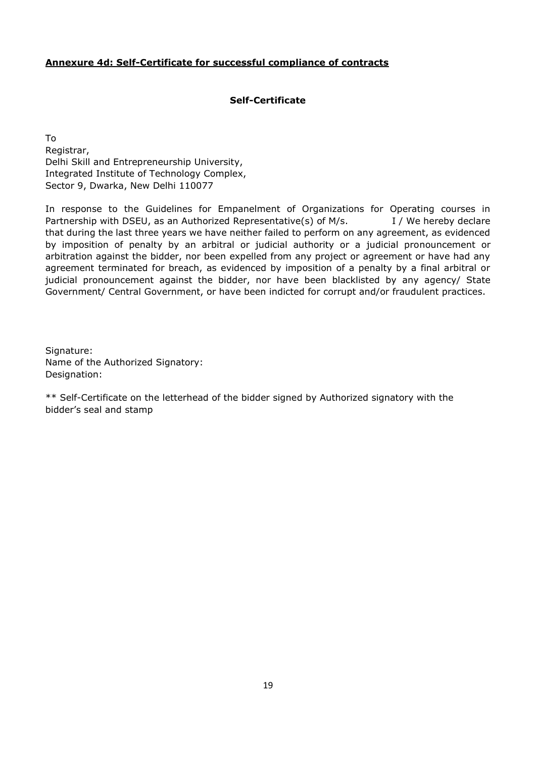#### **Annexure 4d: Self-Certificate for successful compliance of contracts**

#### **Self-Certificate**

To Registrar, Delhi Skill and Entrepreneurship University, Integrated Institute of Technology Complex, Sector 9, Dwarka, New Delhi 110077

In response to the Guidelines for Empanelment of Organizations for Operating courses in Partnership with DSEU, as an Authorized Representative(s) of M/s. I / We hereby declare that during the last three years we have neither failed to perform on any agreement, as evidenced by imposition of penalty by an arbitral or judicial authority or a judicial pronouncement or arbitration against the bidder, nor been expelled from any project or agreement or have had any agreement terminated for breach, as evidenced by imposition of a penalty by a final arbitral or judicial pronouncement against the bidder, nor have been blacklisted by any agency/ State Government/ Central Government, or have been indicted for corrupt and/or fraudulent practices.

Signature: Name of the Authorized Signatory: Designation:

\*\* Self-Certificate on the letterhead of the bidder signed by Authorized signatory with the bidder's seal and stamp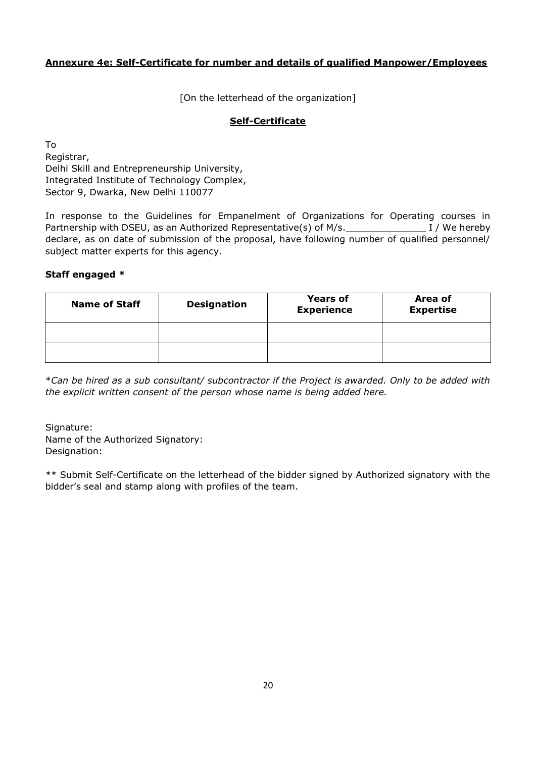## **Annexure 4e: Self-Certificate for number and details of qualified Manpower/Employees**

[On the letterhead of the organization]

## **Self-Certificate**

To Registrar, Delhi Skill and Entrepreneurship University, Integrated Institute of Technology Complex, Sector 9, Dwarka, New Delhi 110077

In response to the Guidelines for Empanelment of Organizations for Operating courses in Partnership with DSEU, as an Authorized Representative(s) of M/s.\_\_\_\_\_\_\_\_\_\_\_\_\_\_ I / We hereby declare, as on date of submission of the proposal, have following number of qualified personnel/ subject matter experts for this agency.

## **Staff engaged \***

| <b>Name of Staff</b> | <b>Designation</b> | <b>Years of</b><br><b>Experience</b> | Area of<br><b>Expertise</b> |
|----------------------|--------------------|--------------------------------------|-----------------------------|
|                      |                    |                                      |                             |
|                      |                    |                                      |                             |

\**Can be hired as a sub consultant/ subcontractor if the Project is awarded. Only to be added with the explicit written consent of the person whose name is being added here.*

Signature: Name of the Authorized Signatory: Designation:

\*\* Submit Self-Certificate on the letterhead of the bidder signed by Authorized signatory with the bidder's seal and stamp along with profiles of the team.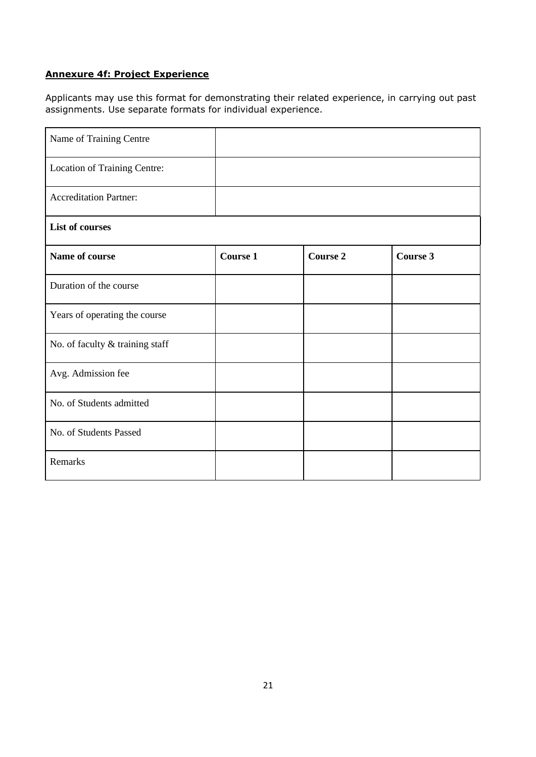## **Annexure 4f: Project Experience**

Applicants may use this format for demonstrating their related experience, in carrying out past assignments. Use separate formats for individual experience.

| Name of Training Centre         |                 |                 |                 |
|---------------------------------|-----------------|-----------------|-----------------|
| Location of Training Centre:    |                 |                 |                 |
| <b>Accreditation Partner:</b>   |                 |                 |                 |
| <b>List of courses</b>          |                 |                 |                 |
| Name of course                  | <b>Course 1</b> | <b>Course 2</b> | <b>Course 3</b> |
| Duration of the course          |                 |                 |                 |
| Years of operating the course   |                 |                 |                 |
| No. of faculty & training staff |                 |                 |                 |
| Avg. Admission fee              |                 |                 |                 |
| No. of Students admitted        |                 |                 |                 |
| No. of Students Passed          |                 |                 |                 |
| Remarks                         |                 |                 |                 |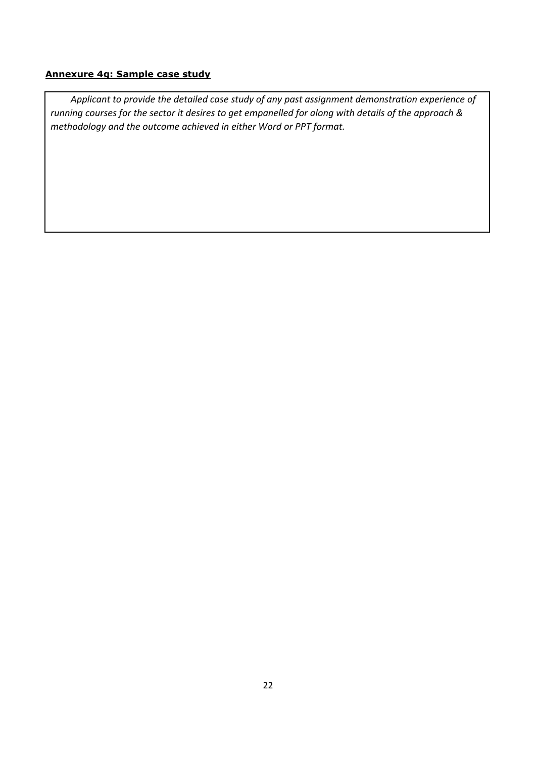## **Annexure 4g: Sample case study**

*Applicant to provide the detailed case study of any past assignment demonstration experience of running courses for the sector it desires to get empanelled for along with details of the approach & methodology and the outcome achieved in either Word or PPT format.*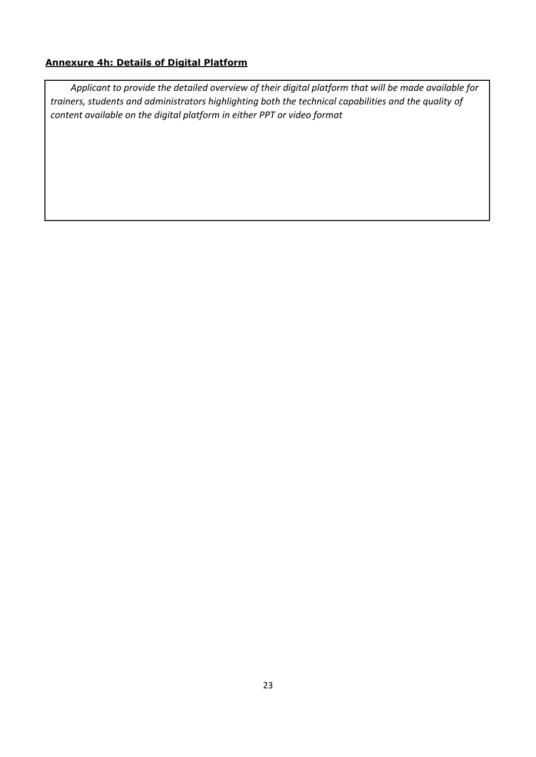## **Annexure 4h: Details of Digital Platform**

*Applicant to provide the detailed overview of their digital platform that will be made available for trainers, students and administrators highlighting both the technical capabilities and the quality of content available on the digital platform in either PPT or video format*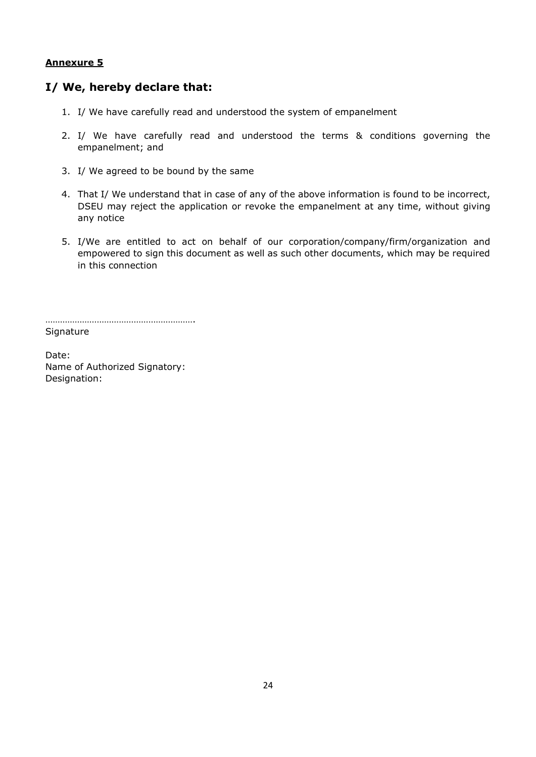## **I/ We, hereby declare that:**

- 1. I/ We have carefully read and understood the system of empanelment
- 2. I/ We have carefully read and understood the terms & conditions governing the empanelment; and
- 3. I/ We agreed to be bound by the same
- 4. That I/ We understand that in case of any of the above information is found to be incorrect, DSEU may reject the application or revoke the empanelment at any time, without giving any notice
- 5. I/We are entitled to act on behalf of our corporation/company/firm/organization and empowered to sign this document as well as such other documents, which may be required in this connection

…………………………………………………….

**Signature** 

Date: Name of Authorized Signatory: Designation: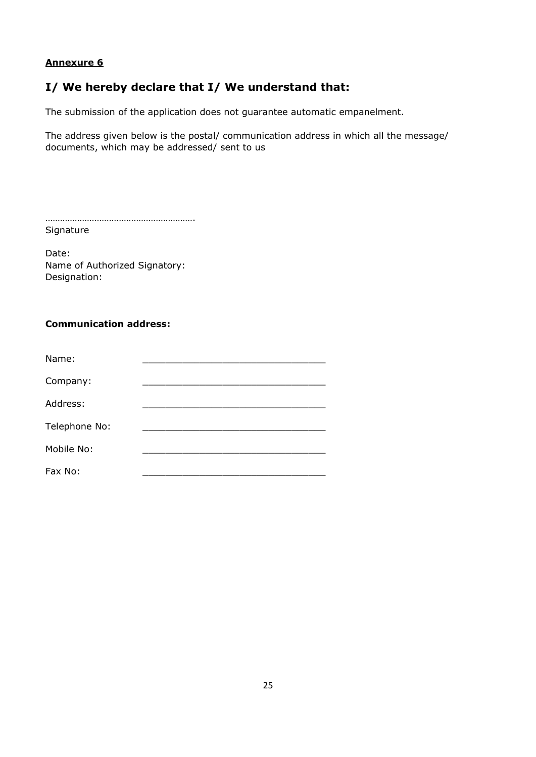## **I/ We hereby declare that I/ We understand that:**

The submission of the application does not guarantee automatic empanelment.

The address given below is the postal/ communication address in which all the message/ documents, which may be addressed/ sent to us

| Signature |  |
|-----------|--|

Date: Name of Authorized Signatory: Designation:

## **Communication address:**

| Name:         |  |
|---------------|--|
| Company:      |  |
| Address:      |  |
| Telephone No: |  |
| Mobile No:    |  |
| Fax No:       |  |